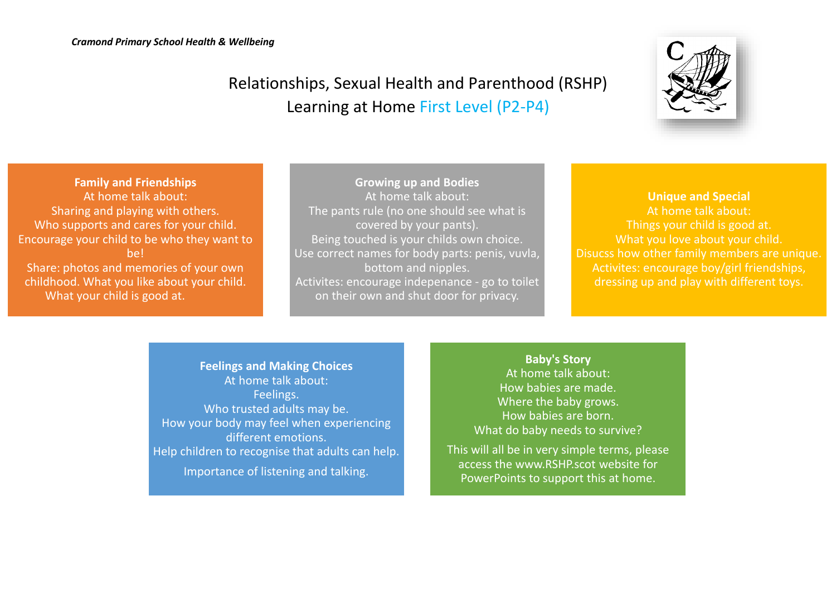## Relationships, Sexual Health and Parenthood (RSHP) Learning at Home First Level (P2-P4)



**Family and Friendships** At home talk about: Sharing and playing with others. Who supports and cares for your child. Encourage your child to be who they want to be! Share: photos and memories of your own childhood. What you like about your child. What your child is good at.

**Growing up and Bodies** At home talk about: The pants rule (no one should see what is covered by your pants). Being touched is your childs own choice. Use correct names for body parts: penis, vuvla, bottom and nipples. Activites: encourage indepenance - go to toilet on their own and shut door for privacy.

**Unique and Special** At home talk about: Things your child is good at. What you love about your child. Disucss how other family members are unique. Activites: encourage boy/girl friendships, dressing up and play with different toys.

**Feelings and Making Choices** At home talk about: Feelings. Who trusted adults may be. How your body may feel when experiencing different emotions. Help children to recognise that adults can help. Importance of listening and talking.

**Baby's Story** At home talk about: How babies are made. Where the baby grows. How babies are born. What do baby needs to survive?

This will all be in very simple terms, please access the www.RSHP.scot website for PowerPoints to support this at home.